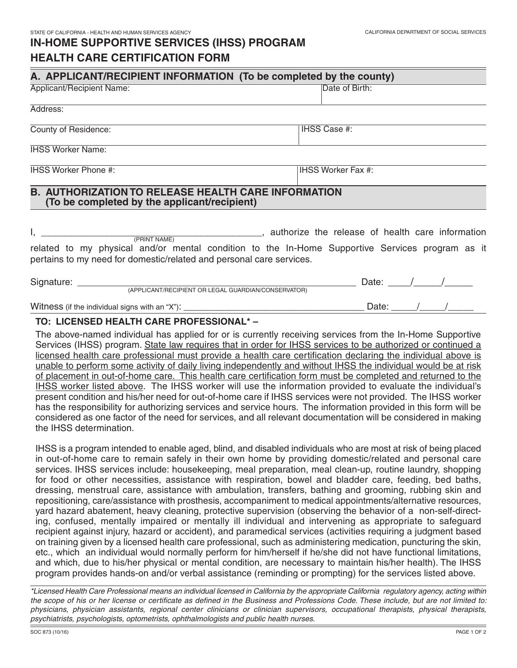# **IN-HOME SUPPORTIVE SERVICES (IHSS) PROGRAM HEALTH CARE CERTIFICATION FORM**

| A. APPLICANT/RECIPIENT INFORMATION (To be completed by the county)                                                                                                                      |                                                       |
|-----------------------------------------------------------------------------------------------------------------------------------------------------------------------------------------|-------------------------------------------------------|
| Applicant/Recipient Name:                                                                                                                                                               | Date of Birth:                                        |
| Address:                                                                                                                                                                                |                                                       |
| County of Residence:                                                                                                                                                                    | IHSS Case #:                                          |
| <b>IHSS Worker Name:</b>                                                                                                                                                                |                                                       |
| <b>IHSS Worker Phone #:</b>                                                                                                                                                             | <b>IHSS Worker Fax #:</b>                             |
| <b>B. AUTHORIZATION TO RELEASE HEALTH CARE INFORMATION</b><br>(To be completed by the applicant/recipient)                                                                              |                                                       |
| (PRINT NAME)<br>related to my physical and/or mental condition to the In-Home Supportive Services program as it<br>pertains to my need for domestic/related and personal care services. | ___, authorize the release of health care information |
| Signature: ___<br>(APPLICANT/RECIPIENT OR LEGAL GUARDIAN/CONSERVATOR)                                                                                                                   | Date:                                                 |

Witness (if the individual signs with an "X"): \_\_\_\_\_\_\_\_\_\_\_\_\_\_\_\_\_\_\_\_\_\_\_\_\_\_\_\_\_\_\_\_\_\_\_ Date: \_\_\_\_\_/\_\_\_\_\_/\_\_\_\_\_

#### **TO: LICENSED HEALTH CARE PROFESSIONAL\* –**

 The above-named individual has applied for or is currently receiving services from the In-Home Supportive Services (IHSS) program. State law requires that in order for IHSS services to be authorized or continued a licensed health care professional must provide a health care certification declaring the individual above is unable to perform some activity of daily living independently and without IHSS the individual would be at risk of placement in out-of-home care. This health care certification form must be completed and returned to the IHSS worker listed above. The IHSS worker will use the information provided to evaluate the individual's present condition and his/her need for out-of-home care if IHSS services were not provided. The IHSS worker has the responsibility for authorizing services and service hours. The information provided in this form will be considered as one factor of the need for services, and all relevant documentation will be considered in making the IHSS determination.

 IHSS is a program intended to enable aged, blind, and disabled individuals who are most at risk of being placed in out-of-home care to remain safely in their own home by providing domestic/related and personal care services. IHSS services include: housekeeping, meal preparation, meal clean-up, routine laundry, shopping for food or other necessities, assistance with respiration, bowel and bladder care, feeding, bed baths, dressing, menstrual care, assistance with ambulation, transfers, bathing and grooming, rubbing skin and repositioning, care/assistance with prosthesis, accompaniment to medical appointments/alternative resources, yard hazard abatement, heavy cleaning, protective supervision (observing the behavior of a non-self-direct- ing, confused, mentally impaired or mentally ill individual and intervening as appropriate to safeguard recipient against injury, hazard or accident), and paramedical services (activities requiring a judgment based on training given by a licensed health care professional, such as administering medication, puncturing the skin, etc., which an individual would normally perform for him/herself if he/she did not have functional limitations, and which, due to his/her physical or mental condition, are necessary to maintain his/her health). The IHSS program provides hands-on and/or verbal assistance (reminding or prompting) for the services listed above.

 *\*Licensed Health Care Professional means an individual licensed in California by the appropriate California regulatory agency, acting within the scope of his or her license or certificate as defined in the Business and Professions Code. These include, but are not limited to: physicians, physician assistants, regional center clinicians or clinician supervisors, occupational therapists, physical therapists, psychiatrists, psychologists, optometrists, ophthalmologists and public health nurses.*